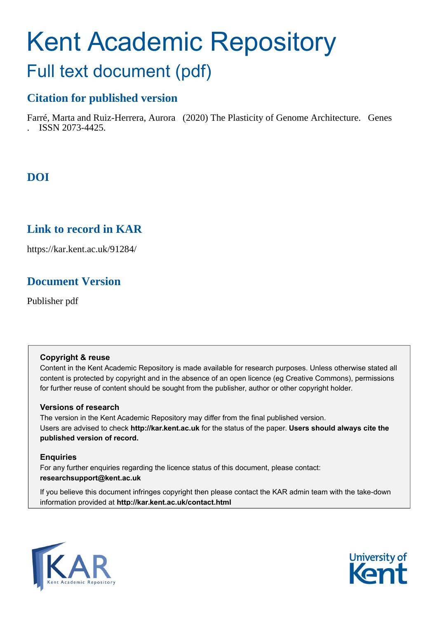# Kent Academic Repository

# Full text document (pdf)

# **Citation for published version**

Farré, Marta and Ruiz-Herrera, Aurora (2020) The Plasticity of Genome Architecture. Genes . ISSN 2073-4425.

# **DOI**

# **Link to record in KAR**

https://kar.kent.ac.uk/91284/

# **Document Version**

Publisher pdf

#### **Copyright & reuse**

Content in the Kent Academic Repository is made available for research purposes. Unless otherwise stated all content is protected by copyright and in the absence of an open licence (eg Creative Commons), permissions for further reuse of content should be sought from the publisher, author or other copyright holder.

#### **Versions of research**

The version in the Kent Academic Repository may differ from the final published version. Users are advised to check **http://kar.kent.ac.uk** for the status of the paper. **Users should always cite the published version of record.**

#### **Enquiries**

For any further enquiries regarding the licence status of this document, please contact: **researchsupport@kent.ac.uk**

If you believe this document infringes copyright then please contact the KAR admin team with the take-down information provided at **http://kar.kent.ac.uk/contact.html**



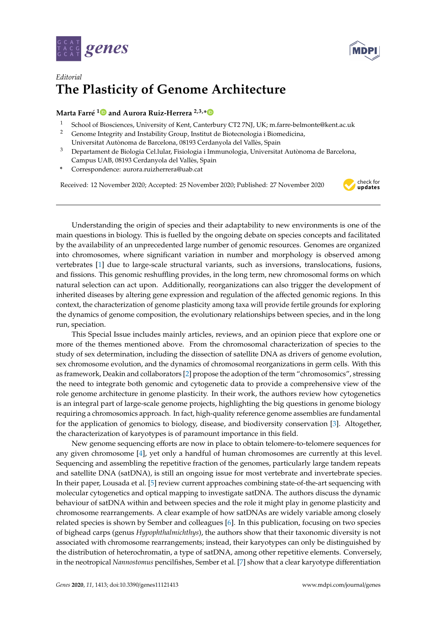



### *Editorial* **The Plasticity of Genome Architecture**

#### **Marta Farré [1](https://orcid.org/0000-0001-9170-5767) and Aurora Ruiz-Herrera 2,3,[\\*](https://orcid.org/0000-0003-3868-6151)**

- <sup>1</sup> School of Biosciences, University of Kent, Canterbury CT2 7NJ, UK; m.farre-belmonte@kent.ac.uk<br><sup>2</sup> Cenome Integrity and Instability Croup, Institut de Biotecnologia i Biomedicina
- <sup>2</sup> Genome Integrity and Instability Group, Institut de Biotecnologia i Biomedicina, Universitat Autònoma de Barcelona, 08193 Cerdanyola del Vallès, Spain
- $3$  Departament de Biologia Cel.lular, Fisiologia i Immunologia, Universitat Autònoma de Barcelona, Campus UAB, 08193 Cerdanyola del Vallès, Spain
- **\*** Correspondence: aurora.ruizherrera@uab.cat

Received: 12 November 2020; Accepted: 25 November 2020; Published: 27 November 2020



Understanding the origin of species and their adaptability to new environments is one of the main questions in biology. This is fuelled by the ongoing debate on species concepts and facilitated by the availability of an unprecedented large number of genomic resources. Genomes are organized into chromosomes, where significant variation in number and morphology is observed among vertebrates [1] due to large-scale structural variants, such as inversions, translocations, fusions, and fissions. This genomic reshuffling provides, in the long term, new chromosomal forms on which natural selection can act upon. Additionally, reorganizations can also trigger the development of inherited diseases by altering gene expression and regulation of the affected genomic regions. In this context, the characterization of genome plasticity among taxa will provide fertile grounds for exploring the dynamics of genome composition, the evolutionary relationships between species, and in the long run, speciation.

This Special Issue includes mainly articles, reviews, and an opinion piece that explore one or more of the themes mentioned above. From the chromosomal characterization of species to the study of sex determination, including the dissection of satellite DNA as drivers of genome evolution, sex chromosome evolution, and the dynamics of chromosomal reorganizations in germ cells. With this as framework, Deakin and collaborators [2] propose the adoption of the term "chromosomics", stressing the need to integrate both genomic and cytogenetic data to provide a comprehensive view of the role genome architecture in genome plasticity. In their work, the authors review how cytogenetics is an integral part of large-scale genome projects, highlighting the big questions in genome biology requiring a chromosomics approach. In fact, high-quality reference genome assemblies are fundamental for the application of genomics to biology, disease, and biodiversity conservation [3]. Altogether, the characterization of karyotypes is of paramount importance in this field.

New genome sequencing efforts are now in place to obtain telomere-to-telomere sequences for any given chromosome [4], yet only a handful of human chromosomes are currently at this level. Sequencing and assembling the repetitive fraction of the genomes, particularly large tandem repeats and satellite DNA (satDNA), is still an ongoing issue for most vertebrate and invertebrate species. In their paper, Lousada et al. [5] review current approaches combining state-of-the-art sequencing with molecular cytogenetics and optical mapping to investigate satDNA. The authors discuss the dynamic behaviour of satDNA within and between species and the role it might play in genome plasticity and chromosome rearrangements. A clear example of how satDNAs are widely variable among closely related species is shown by Sember and colleagues [6]. In this publication, focusing on two species of bighead carps (genus *Hypophthalmichthys*), the authors show that their taxonomic diversity is not associated with chromosome rearrangements; instead, their karyotypes can only be distinguished by the distribution of heterochromatin, a type of satDNA, among other repetitive elements. Conversely, in the neotropical *Nannostomus* pencilfishes, Sember et al. [7] show that a clear karyotype differentiation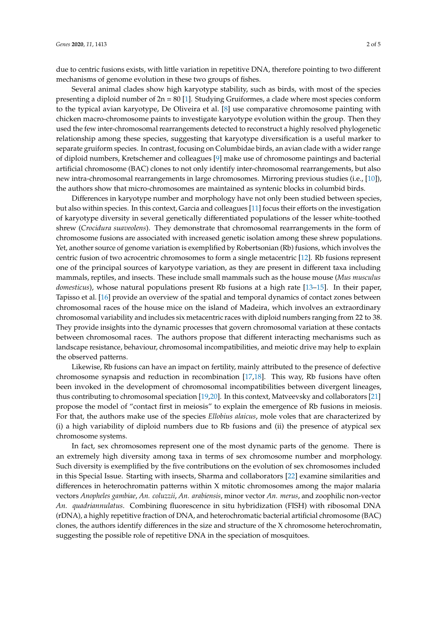due to centric fusions exists, with little variation in repetitive DNA, therefore pointing to two different mechanisms of genome evolution in these two groups of fishes.

Several animal clades show high karyotype stability, such as birds, with most of the species presenting a diploid number of  $2n = 80$  [1]. Studying Gruiformes, a clade where most species conform to the typical avian karyotype, De Oliveira et al. [8] use comparative chromosome painting with chicken macro-chromosome paints to investigate karyotype evolution within the group. Then they used the few inter-chromosomal rearrangements detected to reconstruct a highly resolved phylogenetic relationship among these species, suggesting that karyotype diversification is a useful marker to separate gruiform species. In contrast, focusing on Columbidae birds, an avian clade with a wider range of diploid numbers, Kretschemer and colleagues [9] make use of chromosome paintings and bacterial artificial chromosome (BAC) clones to not only identify inter-chromosomal rearrangements, but also new intra-chromosomal rearrangements in large chromosomes. Mirroring previous studies (i.e., [10]), the authors show that micro-chromosomes are maintained as syntenic blocks in columbid birds.

Differences in karyotype number and morphology have not only been studied between species, but also within species. In this context, Garcia and colleagues [11] focus their efforts on the investigation of karyotype diversity in several genetically differentiated populations of the lesser white-toothed shrew (*Crocidura suaveolens*). They demonstrate that chromosomal rearrangements in the form of chromosome fusions are associated with increased genetic isolation among these shrew populations. Yet, another source of genome variation is exemplified by Robertsonian (Rb) fusions, which involves the centric fusion of two acrocentric chromosomes to form a single metacentric [12]. Rb fusions represent one of the principal sources of karyotype variation, as they are present in different taxa including mammals, reptiles, and insects. These include small mammals such as the house mouse (*Mus musculus domesticus*), whose natural populations present Rb fusions at a high rate [13–15]. In their paper, Tapisso et al. [16] provide an overview of the spatial and temporal dynamics of contact zones between chromosomal races of the house mice on the island of Madeira, which involves an extraordinary chromosomal variability and includes six metacentric races with diploid numbers ranging from 22 to 38. They provide insights into the dynamic processes that govern chromosomal variation at these contacts between chromosomal races. The authors propose that different interacting mechanisms such as landscape resistance, behaviour, chromosomal incompatibilities, and meiotic drive may help to explain the observed patterns.

Likewise, Rb fusions can have an impact on fertility, mainly attributed to the presence of defective chromosome synapsis and reduction in recombination [17,18]. This way, Rb fusions have often been invoked in the development of chromosomal incompatibilities between divergent lineages, thus contributing to chromosomal speciation [19,20]. In this context, Matveevsky and collaborators [21] propose the model of "contact first in meiosis" to explain the emergence of Rb fusions in meiosis. For that, the authors make use of the species *Ellobius alaicus*, mole voles that are characterized by (i) a high variability of diploid numbers due to Rb fusions and (ii) the presence of atypical sex chromosome systems.

In fact, sex chromosomes represent one of the most dynamic parts of the genome. There is an extremely high diversity among taxa in terms of sex chromosome number and morphology. Such diversity is exemplified by the five contributions on the evolution of sex chromosomes included in this Special Issue. Starting with insects, Sharma and collaborators [22] examine similarities and differences in heterochromatin patterns within X mitotic chromosomes among the major malaria vectors *Anopheles gambiae*, *An. coluzzii*, *An. arabiensis*, minor vector *An. merus*, and zoophilic non-vector *An. quadriannulatus*. Combining fluorescence in situ hybridization (FISH) with ribosomal DNA (rDNA), a highly repetitive fraction of DNA, and heterochromatic bacterial artificial chromosome (BAC) clones, the authors identify differences in the size and structure of the X chromosome heterochromatin, suggesting the possible role of repetitive DNA in the speciation of mosquitoes.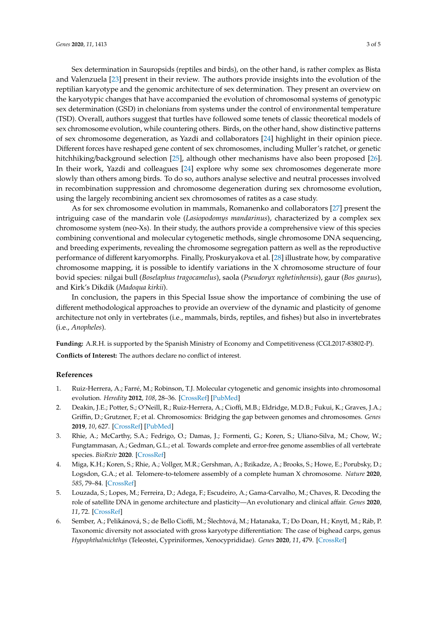Sex determination in Sauropsids (reptiles and birds), on the other hand, is rather complex as Bista and Valenzuela [23] present in their review. The authors provide insights into the evolution of the reptilian karyotype and the genomic architecture of sex determination. They present an overview on the karyotypic changes that have accompanied the evolution of chromosomal systems of genotypic sex determination (GSD) in chelonians from systems under the control of environmental temperature (TSD). Overall, authors suggest that turtles have followed some tenets of classic theoretical models of sex chromosome evolution, while countering others. Birds, on the other hand, show distinctive patterns of sex chromosome degeneration, as Yazdi and collaborators [24] highlight in their opinion piece. Different forces have reshaped gene content of sex chromosomes, including Muller's ratchet, or genetic hitchhiking/background selection [25], although other mechanisms have also been proposed [26]. In their work, Yazdi and colleagues [24] explore why some sex chromosomes degenerate more slowly than others among birds. To do so, authors analyse selective and neutral processes involved in recombination suppression and chromosome degeneration during sex chromosome evolution, using the largely recombining ancient sex chromosomes of ratites as a case study.

As for sex chromosome evolution in mammals, Romanenko and collaborators [27] present the intriguing case of the mandarin vole (*Lasiopodomys mandarinus*), characterized by a complex sex chromosome system (neo-Xs). In their study, the authors provide a comprehensive view of this species combining conventional and molecular cytogenetic methods, single chromosome DNA sequencing, and breeding experiments, revealing the chromosome segregation pattern as well as the reproductive performance of different karyomorphs. Finally, Proskuryakova et al. [28] illustrate how, by comparative chromosome mapping, it is possible to identify variations in the X chromosome structure of four bovid species: nilgai bull (*Boselaphus tragocamelus*), saola (*Pseudoryx nghetinhensis*), gaur (*Bos gaurus*), and Kirk's Dikdik (*Madoqua kirkii*).

In conclusion, the papers in this Special Issue show the importance of combining the use of different methodological approaches to provide an overview of the dynamic and plasticity of genome architecture not only in vertebrates (i.e., mammals, birds, reptiles, and fishes) but also in invertebrates (i.e., *Anopheles*).

**Funding:** A.R.H. is supported by the Spanish Ministry of Economy and Competitiveness (CGL2017-83802-P). **Conflicts of Interest:** The authors declare no conflict of interest.

#### **References**

- 1. Ruiz-Herrera, A.; Farré, M.; Robinson, T.J. Molecular cytogenetic and genomic insights into chromosomal evolution. *Heredity* **2012**, *108*, 28–36. [\[CrossRef\]](http://dx.doi.org/10.1038/hdy.2011.102) [\[PubMed\]](http://www.ncbi.nlm.nih.gov/pubmed/22108627)
- 2. Deakin, J.E.; Potter, S.; O'Neill, R.; Ruiz-Herrera, A.; Cioffi, M.B.; Eldridge, M.D.B.; Fukui, K.; Graves, J.A.; Griffin, D.; Grutzner, F.; et al. Chromosomics: Bridging the gap between genomes and chromosomes. *Genes* **2019**, *10*, 627. [\[CrossRef\]](http://dx.doi.org/10.3390/genes10080627) [\[PubMed\]](http://www.ncbi.nlm.nih.gov/pubmed/31434289)
- 3. Rhie, A.; McCarthy, S.A.; Fedrigo, O.; Damas, J.; Formenti, G.; Koren, S.; Uliano-Silva, M.; Chow, W.; Fungtammasan, A.; Gedman, G.L.; et al. Towards complete and error-free genome assemblies of all vertebrate species. *BioRxiv* **2020**. [\[CrossRef\]](http://dx.doi.org/10.1101/2020.05.22.110833)
- 4. Miga, K.H.; Koren, S.; Rhie, A.; Vollger, M.R.; Gershman, A.; Bzikadze, A.; Brooks, S.; Howe, E.; Porubsky, D.; Logsdon, G.A.; et al. Telomere-to-telomere assembly of a complete human X chromosome. *Nature* **2020**, *585*, 79–84. [\[CrossRef\]](http://dx.doi.org/10.1038/s41586-020-2547-7)
- 5. Louzada, S.; Lopes, M.; Ferreira, D.; Adega, F.; Escudeiro, A.; Gama-Carvalho, M.; Chaves, R. Decoding the role of satellite DNA in genome architecture and plasticity—An evolutionary and clinical affair. *Genes* **2020**, *11*, 72. [\[CrossRef\]](http://dx.doi.org/10.3390/genes11010072)
- 6. Sember, A.; Pelikánová, S.; de Bello Cioffi, M.; Šlechtová, M.; Hatanaka, T.; Do Doan, H.; Knytl, M.; Ráb, P. Taxonomic diversity not associated with gross karyotype differentiation: The case of bighead carps, genus *Hypophthalmichthys* (Teleostei, Cypriniformes, Xenocyprididae). *Genes* **2020**, *11*, 479. [\[CrossRef\]](http://dx.doi.org/10.3390/genes11050479)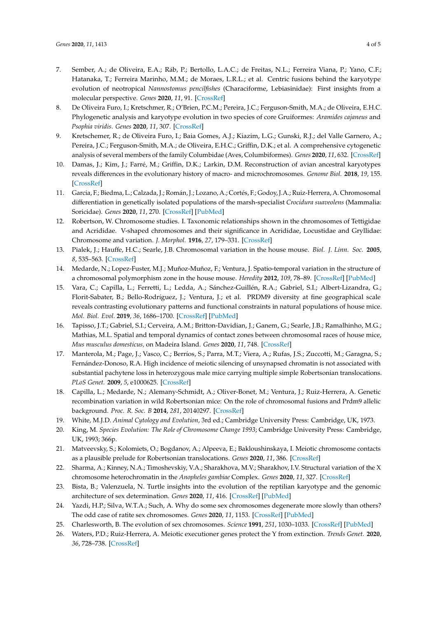- 7. Sember, A.; de Oliveira, E.A.; Ráb, P.; Bertollo, L.A.C.; de Freitas, N.L.; Ferreira Viana, P.; Yano, C.F.; Hatanaka, T.; Ferreira Marinho, M.M.; de Moraes, L.R.L.; et al. Centric fusions behind the karyotype evolution of neotropical *Nannostomus pencilfishes* (Characiforme, Lebiasinidae): First insights from a molecular perspective. *Genes* **2020**, *11*, 91. [\[CrossRef\]](http://dx.doi.org/10.3390/genes11010091)
- 8. De Oliveira Furo, I.; Kretschmer, R.; O'Brien, P.C.M.; Pereira, J.C.; Ferguson-Smith, M.A.; de Oliveira, E.H.C. Phylogenetic analysis and karyotype evolution in two species of core Gruiformes: *Aramides cajaneus* and *Psophia viridis*. *Genes* **2020**, *11*, 307. [\[CrossRef\]](http://dx.doi.org/10.3390/genes11030307)
- 9. Kretschemer, R.; de Oliveira Furo, I.; Baia Gomes, A.J.; Kiazim, L.G.; Gunski, R.J.; del Valle Garnero, A.; Pereira, J.C.; Ferguson-Smith, M.A.; de Oliveira, E.H.C.; Griffin, D.K.; et al. A comprehensive cytogenetic analysis of several members of the family Columbidae (Aves, Columbiformes). *Genes* **2020**, *11*, 632. [\[CrossRef\]](http://dx.doi.org/10.3390/genes11060632)
- 10. Damas, J.; Kim, J.; Farré, M.; Griffin, D.K.; Larkin, D.M. Reconstruction of avian ancestral karyotypes reveals differences in the evolutionary history of macro- and microchromosomes. *Genome Biol.* **2018**, *19*, 155. [\[CrossRef\]](http://dx.doi.org/10.1186/s13059-018-1544-8)
- 11. Garcia, F.; Biedma, L.; Calzada, J.; Román, J.; Lozano, A.; Cortés, F.; Godoy, J.A.; Ruiz-Herrera, A. Chromosomal differentiation in genetically isolated populations of the marsh-specialist *Crocidura suaveolens* (Mammalia: Soricidae). *Genes* **2020**, *11*, 270. [\[CrossRef\]](http://dx.doi.org/10.3390/genes11030270) [\[PubMed\]](http://www.ncbi.nlm.nih.gov/pubmed/32131436)
- 12. Robertson, W. Chromosome studies. I. Taxonomic relationships shown in the chromosomes of Tettigidae and Acrididae. V-shaped chromosomes and their significance in Acrididae, Locustidae and Gryllidae: Chromosome and variation. *J. Morphol.* **1916**, *27*, 179–331. [\[CrossRef\]](http://dx.doi.org/10.1002/jmor.1050270202)
- 13. Pialek, J.; Hauffe, H.C.; Searle, J.B. Chromosomal variation in the house mouse. *Biol. J. Linn. Soc.* **2005**, *8*, 535–563. [\[CrossRef\]](http://dx.doi.org/10.1111/j.1095-8312.2005.00454.x)
- 14. Medarde, N.; Lopez-Fuster, M.J.; Muñoz-Muñoz, F.; Ventura, J. Spatio-temporal variation in the structure of a chromosomal polymorphism zone in the house mouse. *Heredity* **2012**, *109*, 78–89. [\[CrossRef\]](http://dx.doi.org/10.1038/hdy.2012.16) [\[PubMed\]](http://www.ncbi.nlm.nih.gov/pubmed/22534497)
- 15. Vara, C.; Capilla, L.; Ferretti, L.; Ledda, A.; Sánchez-Guillén, R.A.; Gabriel, S.I.; Albert-Lizandra, G.; Florit-Sabater, B.; Bello-Rodríguez, J.; Ventura, J.; et al. PRDM9 diversity at fine geographical scale reveals contrasting evolutionary patterns and functional constraints in natural populations of house mice. *Mol. Biol. Evol.* **2019**, *36*, 1686–1700. [\[CrossRef\]](http://dx.doi.org/10.1093/molbev/msz091) [\[PubMed\]](http://www.ncbi.nlm.nih.gov/pubmed/31004162)
- 16. Tapisso, J.T.; Gabriel, S.I.; Cerveira, A.M.; Britton-Davidian, J.; Ganem, G.; Searle, J.B.; Ramalhinho, M.G.; Mathias, M.L. Spatial and temporal dynamics of contact zones between chromosomal races of house mice, *Mus musculus domesticus,* on Madeira Island. *Genes* **2020**, *11*, 748. [\[CrossRef\]](http://dx.doi.org/10.3390/genes11070748)
- 17. Manterola, M.; Page, J.; Vasco, C.; Berríos, S.; Parra, M.T.; Viera, A.; Rufas, J.S.; Zuccotti, M.; Garagna, S.; Fernández-Donoso, R.A. High incidence of meiotic silencing of unsynapsed chromatin is not associated with substantial pachytene loss in heterozygous male mice carrying multiple simple Robertsonian translocations. *PLoS Genet.* **2009**, *5*, e1000625. [\[CrossRef\]](http://dx.doi.org/10.1371/journal.pgen.1000625)
- 18. Capilla, L.; Medarde, N.; Alemany-Schmidt, A.; Oliver-Bonet, M.; Ventura, J.; Ruiz-Herrera, A. Genetic recombination variation in wild Robertsonian mice: On the role of chromosomal fusions and Prdm9 allelic background. *Proc. R. Soc. B* **2014**, *281*, 20140297. [\[CrossRef\]](http://dx.doi.org/10.1098/rspb.2014.0297)
- 19. White, M.J.D. *Animal Cytology and Evolution*, 3rd ed.; Cambridge University Press: Cambridge, UK, 1973.
- 20. King, M. *Species Evolution: The Role of Chromosome Change 1993*; Cambridge University Press: Cambridge, UK, 1993; 366p.
- 21. Matveevsky, S.; Kolomiets, O.; Bogdanov, A.; Alpeeva, E.; Bakloushinskaya, I. Meiotic chromosome contacts as a plausible prelude for Robertsonian translocations. *Genes* **2020**, *11*, 386. [\[CrossRef\]](http://dx.doi.org/10.3390/genes11040386)
- 22. Sharma, A.; Kinney, N.A.; Timoshevskiy, V.A.; Sharakhova, M.V.; Sharakhov, I.V. Structural variation of the X chromosome heterochromatin in the *Anopheles gambiae* Complex. *Genes* **2020**, *11*, 327. [\[CrossRef\]](http://dx.doi.org/10.3390/genes11030327)
- 23. Bista, B.; Valenzuela, N. Turtle insights into the evolution of the reptilian karyotype and the genomic architecture of sex determination. *Genes* **2020**, *11*, 416. [\[CrossRef\]](http://dx.doi.org/10.3390/genes11040416) [\[PubMed\]](http://www.ncbi.nlm.nih.gov/pubmed/32290488)
- 24. Yazdi, H.P.; Silva, W.T.A.; Such, A. Why do some sex chromosomes degenerate more slowly than others? The odd case of ratite sex chromosomes. *Genes* **2020**, *11*, 1153. [\[CrossRef\]](http://dx.doi.org/10.3390/genes11101153) [\[PubMed\]](http://www.ncbi.nlm.nih.gov/pubmed/33007827)
- 25. Charlesworth, B. The evolution of sex chromosomes. *Science* **1991**, *251*, 1030–1033. [\[CrossRef\]](http://dx.doi.org/10.1126/science.1998119) [\[PubMed\]](http://www.ncbi.nlm.nih.gov/pubmed/1998119)
- 26. Waters, P.D.; Ruiz-Herrera, A. Meiotic executioner genes protect the Y from extinction. *Trends Genet.* **2020**, *36*, 728–738. [\[CrossRef\]](http://dx.doi.org/10.1016/j.tig.2020.06.008)